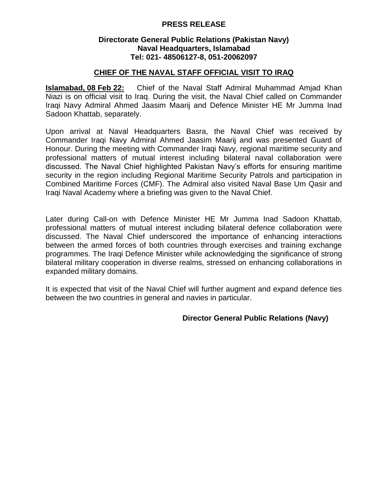## **PRESS RELEASE**

## **Directorate General Public Relations (Pakistan Navy) Naval Headquarters, Islamabad Tel: 021- 48506127-8, 051-20062097**

## **CHIEF OF THE NAVAL STAFF OFFICIAL VISIT TO IRAQ**

**Islamabad, 08 Feb 22:** Chief of the Naval Staff Admiral Muhammad Amjad Khan Niazi is on official visit to Iraq. During the visit, the Naval Chief called on Commander Iraqi Navy Admiral Ahmed Jaasim Maarij and Defence Minister HE Mr Jumma Inad Sadoon Khattab, separately.

Upon arrival at Naval Headquarters Basra, the Naval Chief was received by Commander Iraqi Navy Admiral Ahmed Jaasim Maarij and was presented Guard of Honour. During the meeting with Commander Iraqi Navy, regional maritime security and professional matters of mutual interest including bilateral naval collaboration were discussed. The Naval Chief highlighted Pakistan Navy's efforts for ensuring maritime security in the region including Regional Maritime Security Patrols and participation in Combined Maritime Forces (CMF). The Admiral also visited Naval Base Um Qasir and Iraqi Naval Academy where a briefing was given to the Naval Chief.

Later during Call-on with Defence Minister HE Mr Jumma Inad Sadoon Khattab, professional matters of mutual interest including bilateral defence collaboration were discussed. The Naval Chief underscored the importance of enhancing interactions between the armed forces of both countries through exercises and training exchange programmes. The Iraqi Defence Minister while acknowledging the significance of strong bilateral military cooperation in diverse realms, stressed on enhancing collaborations in expanded military domains.

It is expected that visit of the Naval Chief will further augment and expand defence ties between the two countries in general and navies in particular.

## **Director General Public Relations (Navy)**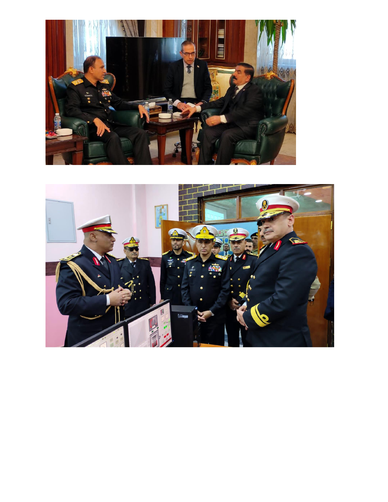